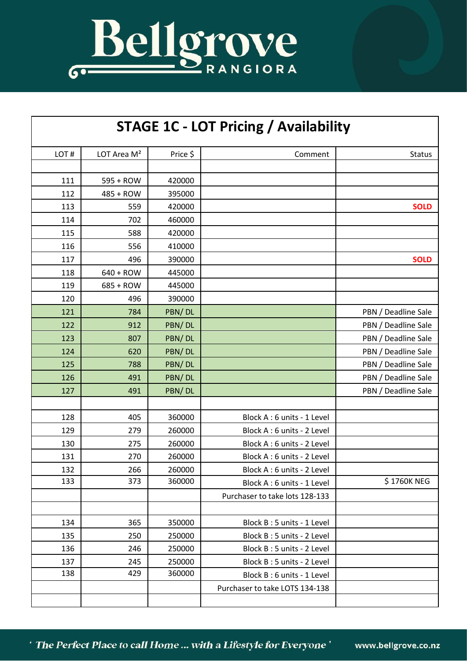

| <b>STAGE 1C - LOT Pricing / Availability</b> |                         |          |                                |                     |
|----------------------------------------------|-------------------------|----------|--------------------------------|---------------------|
| LOT#                                         | LOT Area M <sup>2</sup> | Price \$ | Comment                        | <b>Status</b>       |
|                                              |                         |          |                                |                     |
| 111                                          | 595 + ROW               | 420000   |                                |                     |
| 112                                          | 485 + ROW               | 395000   |                                |                     |
| 113                                          | 559                     | 420000   |                                | <b>SOLD</b>         |
| 114                                          | 702                     | 460000   |                                |                     |
| 115                                          | 588                     | 420000   |                                |                     |
| 116                                          | 556                     | 410000   |                                |                     |
| 117                                          | 496                     | 390000   |                                | <b>SOLD</b>         |
| 118                                          | 640 + ROW               | 445000   |                                |                     |
| 119                                          | $685 + ROW$             | 445000   |                                |                     |
| 120                                          | 496                     | 390000   |                                |                     |
| 121                                          | 784                     | PBN/DL   |                                | PBN / Deadline Sale |
| 122                                          | 912                     | PBN/DL   |                                | PBN / Deadline Sale |
| 123                                          | 807                     | PBN/DL   |                                | PBN / Deadline Sale |
| 124                                          | 620                     | PBN/DL   |                                | PBN / Deadline Sale |
| 125                                          | 788                     | PBN/DL   |                                | PBN / Deadline Sale |
| 126                                          | 491                     | PBN/DL   |                                | PBN / Deadline Sale |
| 127                                          | 491                     | PBN/DL   |                                | PBN / Deadline Sale |
|                                              |                         |          |                                |                     |
| 128                                          | 405                     | 360000   | Block A: 6 units - 1 Level     |                     |
| 129                                          | 279                     | 260000   | Block A: 6 units - 2 Level     |                     |
| 130                                          | 275                     | 260000   | Block A: 6 units - 2 Level     |                     |
| 131                                          | 270                     | 260000   | Block A: 6 units - 2 Level     |                     |
| 132                                          | 266                     | 260000   | Block A: 6 units - 2 Level     |                     |
| 133                                          | 373                     | 360000   | Block A: 6 units - 1 Level     | \$1760K NEG         |
|                                              |                         |          | Purchaser to take lots 128-133 |                     |
|                                              |                         |          |                                |                     |
| 134                                          | 365                     | 350000   | Block B: 5 units - 1 Level     |                     |
| 135                                          | 250                     | 250000   | Block B: 5 units - 2 Level     |                     |
| 136                                          | 246                     | 250000   | Block B: 5 units - 2 Level     |                     |
| 137                                          | 245                     | 250000   | Block B: 5 units - 2 Level     |                     |
| 138                                          | 429                     | 360000   | Block B: 6 units - 1 Level     |                     |
|                                              |                         |          | Purchaser to take LOTS 134-138 |                     |
|                                              |                         |          |                                |                     |